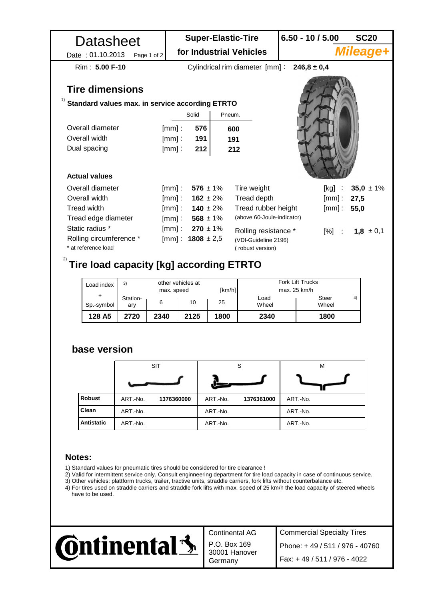| Datasheet<br>Date: 01.10.2013<br>Page 1 of 2          |            | <b>Super-Elastic-Tire</b><br>for Industrial Vehicles |                     |                            | $6.50 - 10 / 5.00$    |                  | <b>SC20</b><br><b>Mileage+</b> |  |  |  |  |  |  |
|-------------------------------------------------------|------------|------------------------------------------------------|---------------------|----------------------------|-----------------------|------------------|--------------------------------|--|--|--|--|--|--|
| Rim: 5.00 F-10                                        |            | Cylindrical rim diameter [mm] :<br>$246.8 \pm 0.4$   |                     |                            |                       |                  |                                |  |  |  |  |  |  |
| <b>Tire dimensions</b>                                |            |                                                      |                     |                            |                       |                  |                                |  |  |  |  |  |  |
| 1)<br>Standard values max. in service according ETRTO |            |                                                      |                     |                            |                       |                  |                                |  |  |  |  |  |  |
|                                                       |            | Solid                                                | Pneum.              |                            |                       |                  |                                |  |  |  |  |  |  |
| Overall diameter                                      | $[mm]$ :   | 576                                                  | 600                 |                            |                       |                  |                                |  |  |  |  |  |  |
| Overall width                                         | $[mm]$ :   | 191                                                  | 191                 |                            |                       |                  |                                |  |  |  |  |  |  |
| Dual spacing                                          | $[mm]$ :   | 212                                                  | 212                 |                            |                       |                  |                                |  |  |  |  |  |  |
|                                                       |            |                                                      |                     |                            |                       |                  |                                |  |  |  |  |  |  |
| <b>Actual values</b>                                  |            |                                                      |                     |                            |                       |                  |                                |  |  |  |  |  |  |
| Overall diameter                                      | $[mm]$ :   | $576 \pm 1\%$                                        |                     | Tire weight                | [kg]                  |                  | 35,0 $\pm$ 1%                  |  |  |  |  |  |  |
| Overall width                                         |            | [mm]: $162 \pm 2\%$                                  |                     | Tread depth                |                       | $[mm]$ :<br>27,5 |                                |  |  |  |  |  |  |
| Tread width                                           |            | [mm]: $140 \pm 2\%$                                  | Tread rubber height |                            |                       | $[mm]$ :<br>55,0 |                                |  |  |  |  |  |  |
| Tread edge diameter                                   |            | [mm]: $568 \pm 1\%$                                  |                     | (above 60-Joule-indicator) |                       |                  |                                |  |  |  |  |  |  |
| Static radius *                                       | $[mm]$ :   | $270 \pm 1\%$                                        |                     | Rolling resistance *       |                       | $[%]$ :          | $1,8 \pm 0,1$                  |  |  |  |  |  |  |
| Rolling circumference *                               |            | [mm] : $1808 \pm 2.5$                                |                     | (VDI-Guideline 2196)       |                       |                  |                                |  |  |  |  |  |  |
| * at reference load                                   |            |                                                      |                     | (robust version)           |                       |                  |                                |  |  |  |  |  |  |
| 2)<br><b>Tire load capacity [kg] according ETRTO</b>  |            |                                                      |                     |                            |                       |                  |                                |  |  |  |  |  |  |
|                                                       |            |                                                      |                     |                            |                       |                  |                                |  |  |  |  |  |  |
| 3)<br>Load index                                      |            | other vehicles at                                    |                     | Fork Lift Trucks           |                       |                  |                                |  |  |  |  |  |  |
| Station-                                              | max. speed |                                                      | [km/h]              | Load                       | max. 25 km/h<br>Steer | 4)               |                                |  |  |  |  |  |  |
| Sp.-symbol<br>ary                                     | 6          | 10                                                   | 25                  | Wheel                      | Wheel                 |                  |                                |  |  |  |  |  |  |
| 128 A5<br>2720                                        | 2340       | 2125                                                 | 1800                | 2340                       | 1800                  |                  |                                |  |  |  |  |  |  |

## **base version**

|               | <b>SIT</b> |            |          | S          | M        |  |  |
|---------------|------------|------------|----------|------------|----------|--|--|
|               |            |            |          |            |          |  |  |
| <b>Robust</b> | ART.-No.   | 1376360000 | ART.-No. | 1376361000 | ART.-No. |  |  |
| Clean         | ART.-No.   |            | ART.-No. |            | ART.-No. |  |  |
| Antistatic    | ART.-No.   |            | ART.-No. |            | ART.-No. |  |  |

## **Notes:**

- 1) Standard values for pneumatic tires should be considered for tire clearance !
- 2) Valid for intermittent service only. Consult enginneering department for tire load capacity in case of continuous service.
- 3) Other vehicles: plattform trucks, trailer, tractive units, straddle carriers, fork lifts without counterbalance etc.
- 4) For tires used on straddle carriers and straddle fork lifts with max. speed of 25 km/h the load capacity of steered wheels have to be used.



Continental AG

P.O. Box 169 30001 Hanover

Commercial Specialty Tires Germany Fax: + 49 / 511 / 976 - 4022 Phone: + 49 / 511 / 976 - 40760